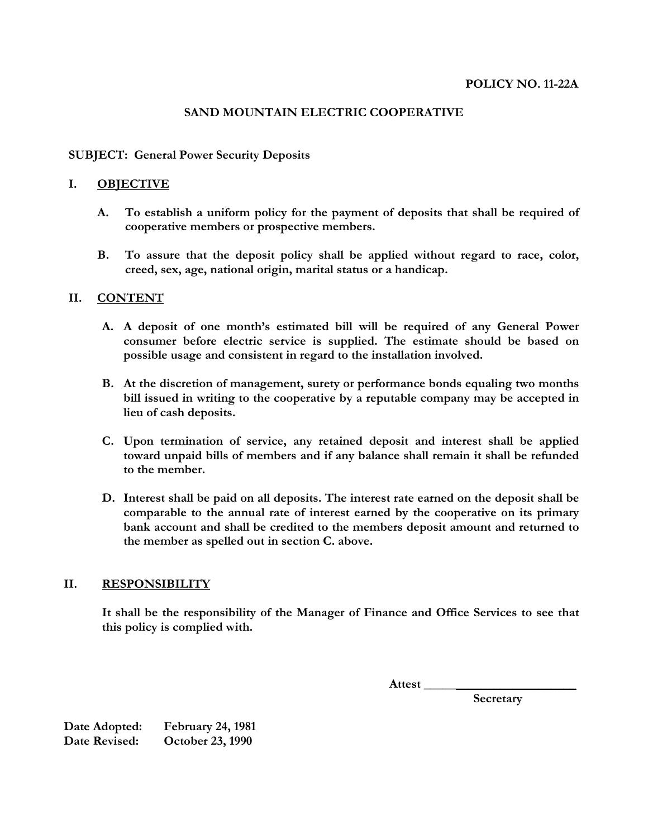## **SAND MOUNTAIN ELECTRIC COOPERATIVE**

## **SUBJECT: General Power Security Deposits**

#### **I. OBJECTIVE**

- **A. To establish a uniform policy for the payment of deposits that shall be required of cooperative members or prospective members.**
- **B. To assure that the deposit policy shall be applied without regard to race, color, creed, sex, age, national origin, marital status or a handicap.**

## **II. CONTENT**

- **A. A deposit of one month's estimated bill will be required of any General Power consumer before electric service is supplied. The estimate should be based on possible usage and consistent in regard to the installation involved.**
- **B. At the discretion of management, surety or performance bonds equaling two months bill issued in writing to the cooperative by a reputable company may be accepted in lieu of cash deposits.**
- **C. Upon termination of service, any retained deposit and interest shall be applied toward unpaid bills of members and if any balance shall remain it shall be refunded to the member.**
- **D. Interest shall be paid on all deposits. The interest rate earned on the deposit shall be comparable to the annual rate of interest earned by the cooperative on its primary bank account and shall be credited to the members deposit amount and returned to the member as spelled out in section C. above.**

# **II. RESPONSIBILITY**

**It shall be the responsibility of the Manager of Finance and Office Services to see that this policy is complied with.**

 **Attest \_\_\_\_\_\_\_\_\_\_\_\_\_\_\_\_\_\_\_\_\_\_\_\_**

**Secretary** 

**Date Adopted: February 24, 1981 Date Revised: October 23, 1990**